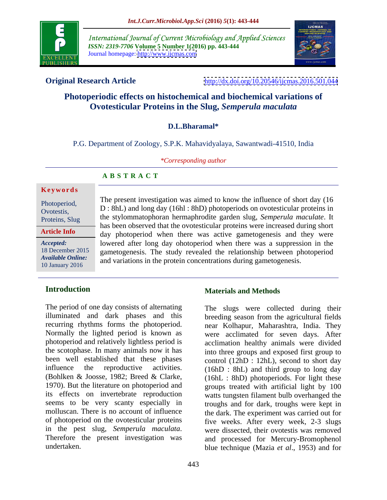

International Journal of Current Microbiology and Applied Sciences *ISSN: 2319-7706* **Volume 5 Number 1(2016) pp. 443-444** Journal homepage: <http://www.ijcmas.com>



**A B S T R A C T**

**Original Research Article** <http://dx.doi.org/10.20546/ijcmas.2016.501.044>

## **Photoperiodic effects on histochemical and biochemical variations of Ovotesticular Proteins in the Slug,** *Semperula maculata*

### **D.L.Bharamal\***

P.G. Department of Zoology, S.P.K. Mahavidyalaya, Sawantwadi-41510, India

*\*Corresponding author*

# **Ke ywo rds**

**Article Info**

The present investigation was aimed to know the influence of short day (16 Photoperiod,<br>
D : 8hL) and long day (16hl : 8hD) photoperiods on ovotesticular proteins in the stylommatophoran hermaphrodite garden slug, *Semperula maculate*. It Proteins, Slug has been observed that the ovotesticular proteins were increased during short day photoperiod when there was active gametogenesis and they were lowered after long day ohotoperiod when there was a suppression in the *Accepted:*  18 December 2015 gametogenesis. The study revealed the relationship between photoperiod Available Online: and variations in the protein concentrations during gametogenesis. Ovotestis,  $D \cdot \text{olL}$  and long day (Tom  $\cdot$  only) photoperiods on ovotesticular proteins in 10 January 2016 and variations in the protein concentrations daring gametogenesis.

The period of one day consists of alternating illuminated and dark phases and this recurring rhythms forms the photoperiod. near Kolhapur, Maharashtra, India. They Normally the lighted period is known as photoperiod and relatively lightless period is acclimation healthy animals were divided the scotophase. In many animals now it has been well established that these phases control (12hD : 12hL), second to short day influence the reproductive activities. (16hD : 8hL) and third group to long day (Bohlken & Joosse, 1982; Breed & Clarke, 1970). But the literature on photoperiod and its effects on invertebrate reproduction seems to be very scanty especially in molluscan. There is no account of influence the dark. The experiment was carried out for of photoperiod on the ovotesticular proteins in the pest slug, *Semperula maculata*. were dissected, their ovotestis was removed<br>Therefore the present investigation was and processed for Mercury-Bromophenol

### **Introduction Materials and Methods**

undertaken. blue technique (Mazia *et al*., 1953) and for The slugs were collected during their breeding season from the agricultural fields were acclimated for seven days. After into three groups and exposed first group to (16hL : 8hD) photoperiods. For light these groups treated with artificial light by 100 watts tungsten filament bulb overhanged the troughs and for dark, troughs were kept in five weeks. After every week, 2-3 slugs were dissected, their ovotestis was removed and processed for Mercury-Bromophenol